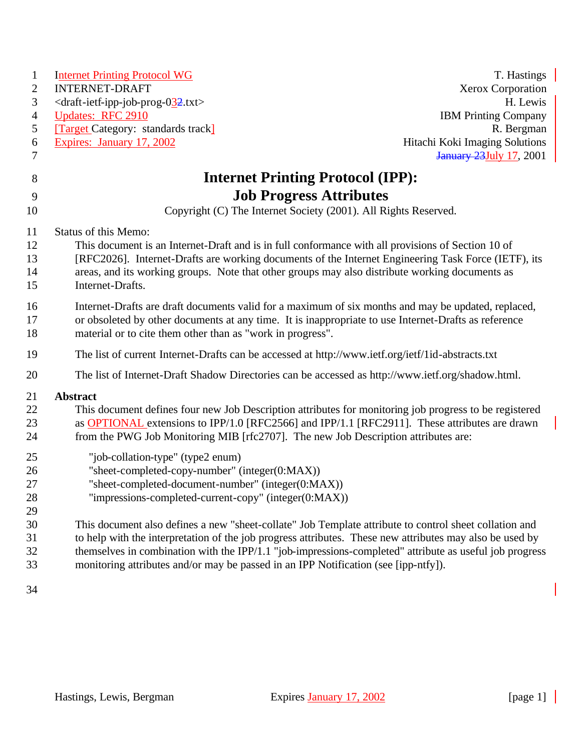| $\mathbf{1}$   | <b>Internet Printing Protocol WG</b>                                                                               | T. Hastings                     |
|----------------|--------------------------------------------------------------------------------------------------------------------|---------------------------------|
| 2              | <b>INTERNET-DRAFT</b>                                                                                              | Xerox Corporation               |
| 3              | <draft-ietf-ipp-job-prog-032.txt></draft-ietf-ipp-job-prog-032.txt>                                                | H. Lewis                        |
| $\overline{4}$ | <b>Updates: RFC 2910</b>                                                                                           | <b>IBM Printing Company</b>     |
| 5              | <b>Target Category:</b> standards track]                                                                           | R. Bergman                      |
| 6              | Expires: January 17, 2002                                                                                          | Hitachi Koki Imaging Solutions  |
| 7              |                                                                                                                    | <b>January 23 July 17, 2001</b> |
| 8              | <b>Internet Printing Protocol (IPP):</b>                                                                           |                                 |
| 9              | <b>Job Progress Attributes</b>                                                                                     |                                 |
| 10             | Copyright (C) The Internet Society (2001). All Rights Reserved.                                                    |                                 |
|                |                                                                                                                    |                                 |
| 11             | Status of this Memo:                                                                                               |                                 |
| 12             | This document is an Internet-Draft and is in full conformance with all provisions of Section 10 of                 |                                 |
| 13<br>14       | [RFC2026]. Internet-Drafts are working documents of the Internet Engineering Task Force (IETF), its                |                                 |
| 15             | areas, and its working groups. Note that other groups may also distribute working documents as<br>Internet-Drafts. |                                 |
|                |                                                                                                                    |                                 |
| 16             | Internet-Drafts are draft documents valid for a maximum of six months and may be updated, replaced,                |                                 |
| 17             | or obsoleted by other documents at any time. It is inappropriate to use Internet-Drafts as reference               |                                 |
| 18             | material or to cite them other than as "work in progress".                                                         |                                 |
| 19             | The list of current Internet-Drafts can be accessed at http://www.ietf.org/ietf/1id-abstracts.txt                  |                                 |
| 20             | The list of Internet-Draft Shadow Directories can be accessed as http://www.ietf.org/shadow.html.                  |                                 |
| 21             | <b>Abstract</b>                                                                                                    |                                 |
| 22             | This document defines four new Job Description attributes for monitoring job progress to be registered             |                                 |
| 23             | as <b>OPTIONAL</b> extensions to IPP/1.0 [RFC2566] and IPP/1.1 [RFC2911]. These attributes are drawn               |                                 |
| 24             | from the PWG Job Monitoring MIB [rfc2707]. The new Job Description attributes are:                                 |                                 |
| 25             | "job-collation-type" (type2 enum)                                                                                  |                                 |
| 26             | "sheet-completed-copy-number" (integer(0:MAX))                                                                     |                                 |
| 27             | "sheet-completed-document-number" (integer(0:MAX))                                                                 |                                 |
| $28\,$         | "impressions-completed-current-copy" (integer(0:MAX))                                                              |                                 |
| 29             |                                                                                                                    |                                 |
| 30             | This document also defines a new "sheet-collate" Job Template attribute to control sheet collation and             |                                 |
| 31             | to help with the interpretation of the job progress attributes. These new attributes may also be used by           |                                 |
| 32             | themselves in combination with the IPP/1.1 "job-impressions-completed" attribute as useful job progress            |                                 |
| 33             | monitoring attributes and/or may be passed in an IPP Notification (see [ipp-ntfy]).                                |                                 |
| 34             |                                                                                                                    |                                 |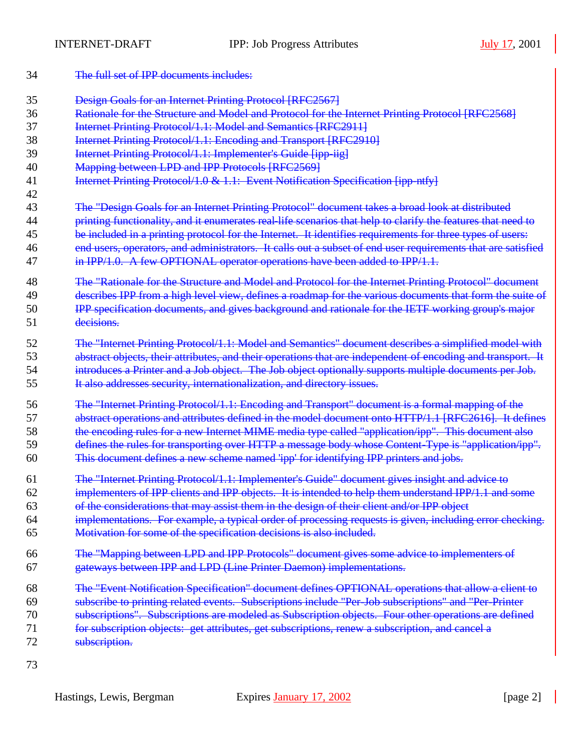- The full set of IPP documents includes: Design Goals for an Internet Printing Protocol [RFC2567] 36 Rationale for the Structure and Model and Protocol for the Internet Printing Protocol [RFC2568] Internet Printing Protocol/1.1: Model and Semantics [RFC2911] Internet Printing Protocol/1.1: Encoding and Transport [RFC2910] **Internet Printing Protocol/1.1: Implementer's Guide [ipp-iig]** 40 Mapping between LPD and IPP Protocols [RFC2569] 41 Internet Printing Protocol/1.0 & 1.1: Event Notification Specification [ipp-ntfy] The "Design Goals for an Internet Printing Protocol" document takes a broad look at distributed 44 printing functionality, and it enumerates real-life scenarios that help to clarify the features that need to be included in a printing protocol for the Internet. It identifies requirements for three types of users: end users, operators, and administrators. It calls out a subset of end user requirements that are satisfied 47 in IPP/1.0. A few OPTIONAL operator operations have been added to IPP/1.1. The "Rationale for the Structure and Model and Protocol for the Internet Printing Protocol" document 49 describes IPP from a high level view, defines a roadmap for the various documents that form the suite of **IPP** specification documents, and gives background and rationale for the IETF working group's major 51 decisions. The "Internet Printing Protocol/1.1: Model and Semantics" document describes a simplified model with 53 abstract objects, their attributes, and their operations that are independent of encoding and transport. It introduces a Printer and a Job object. The Job object optionally supports multiple documents per Job. It also addresses security, internationalization, and directory issues. The "Internet Printing Protocol/1.1: Encoding and Transport" document is a formal mapping of the abstract operations and attributes defined in the model document onto HTTP/1.1 [RFC2616]. It defines the encoding rules for a new Internet MIME media type called "application/ipp". This document also 59 defines the rules for transporting over HTTP a message body whose Content-Type is "application/ipp". This document defines a new scheme named 'ipp' for identifying IPP printers and jobs. The "Internet Printing Protocol/1.1: Implementer's Guide" document gives insight and advice to implementers of IPP clients and IPP objects. It is intended to help them understand IPP/1.1 and some of the considerations that may assist them in the design of their client and/or IPP object implementations. For example, a typical order of processing requests is given, including error checking. Motivation for some of the specification decisions is also included. The "Mapping between LPD and IPP Protocols" document gives some advice to implementers of gateways between IPP and LPD (Line Printer Daemon) implementations. The "Event Notification Specification" document defines OPTIONAL operations that allow a client to subscribe to printing related events. Subscriptions include "Per-Job subscriptions" and "Per-Printer subscriptions". Subscriptions are modeled as Subscription objects. Four other operations are defined for subscription objects: get attributes, get subscriptions, renew a subscription, and cancel a 72 subscription.
-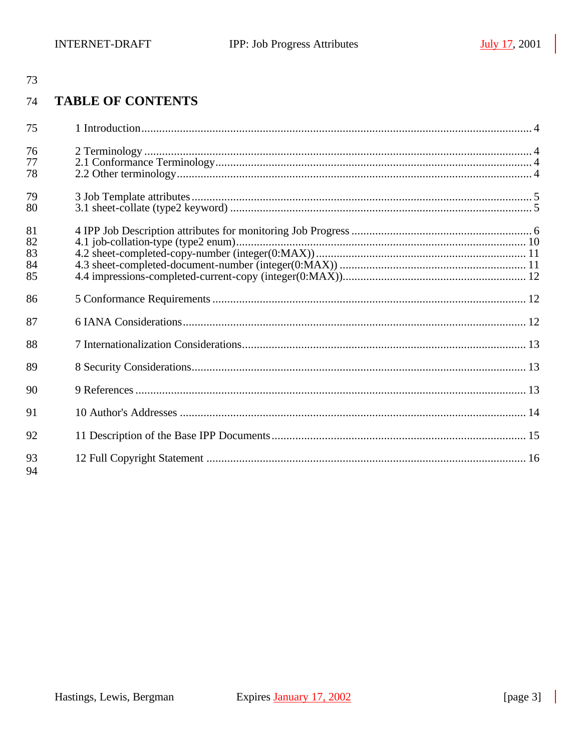#### **TABLE OF CONTENTS** 74

| 75                         |  |
|----------------------------|--|
| 76<br>77<br>78             |  |
| 79<br>80                   |  |
| 81<br>82<br>83<br>84<br>85 |  |
| 86                         |  |
| 87                         |  |
| 88                         |  |
| 89                         |  |
| 90                         |  |
| 91                         |  |
| 92                         |  |
| 93<br>94                   |  |

 $\blacksquare$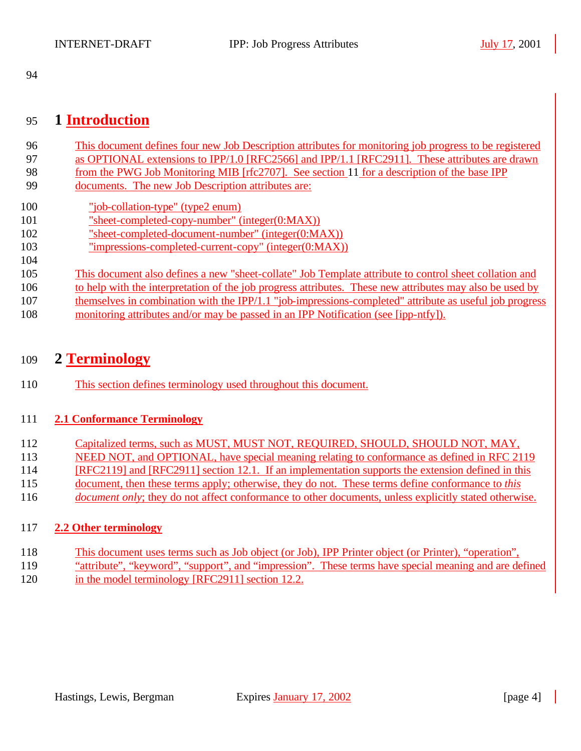### 95 **1 Introduction**

| 96  | This document defines four new Job Description attributes for monitoring job progress to be registered   |
|-----|----------------------------------------------------------------------------------------------------------|
| 97  | as OPTIONAL extensions to IPP/1.0 [RFC2566] and IPP/1.1 [RFC2911]. These attributes are drawn            |
| 98  | from the PWG Job Monitoring MIB [rfc2707]. See section 11 for a description of the base IPP              |
| 99  | documents. The new Job Description attributes are:                                                       |
| 100 | "job-collation-type" (type2 enum)                                                                        |
| 101 | "sheet-completed-copy-number" (integer $(0:MAX)$ )                                                       |
| 102 | "sheet-completed-document-number" (integer(0:MAX))                                                       |
| 103 | "impressions-completed-current-copy" (integer(0:MAX))                                                    |
| 104 |                                                                                                          |
| 105 | This document also defines a new "sheet-collate" Job Template attribute to control sheet collation and   |
| 106 | to help with the interpretation of the job progress attributes. These new attributes may also be used by |
| 107 | themselves in combination with the IPP/1.1 "job-impressions-completed" attribute as useful job progress  |
| 108 | monitoring attributes and/or may be passed in an IPP Notification (see [ipp-ntfy]).                      |

### 109 **2 Terminology**

110 This section defines terminology used throughout this document.

#### 111 **2.1 Conformance Terminology**

- 112 Capitalized terms, such as MUST, MUST NOT, REQUIRED, SHOULD, SHOULD NOT, MAY,
- 113 NEED NOT, and OPTIONAL, have special meaning relating to conformance as defined in RFC 2119
- 114 [RFC2119] and [RFC2911] section 12.1. If an implementation supports the extension defined in this
- 115 document, then these terms apply; otherwise, they do not. These terms define conformance to *this*
- 116 *document only*; they do not affect conformance to other documents, unless explicitly stated otherwise.

#### 117 **2.2 Other terminology**

- 118 This document uses terms such as Job object (or Job), IPP Printer object (or Printer), "operation",
- 119 "attribute", "keyword", "support", and "impression". These terms have special meaning and are defined
- 120 in the model terminology [RFC2911] section 12.2.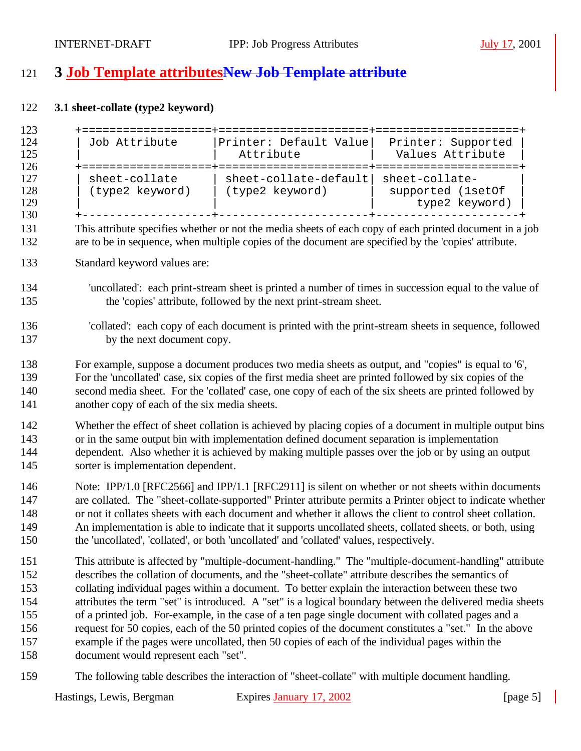# **3 Job Template attributesNew Job Template attribute**

#### **3.1 sheet-collate (type2 keyword)**

| 123                                                  |                                                                                                                                                                                                                                                                                                                                                                                                                                                                                                                                      |                                                                                                                                                                                                                                                                                                                                                                                                                                                                                                                            |                                                                                                                                                                                                                     |
|------------------------------------------------------|--------------------------------------------------------------------------------------------------------------------------------------------------------------------------------------------------------------------------------------------------------------------------------------------------------------------------------------------------------------------------------------------------------------------------------------------------------------------------------------------------------------------------------------|----------------------------------------------------------------------------------------------------------------------------------------------------------------------------------------------------------------------------------------------------------------------------------------------------------------------------------------------------------------------------------------------------------------------------------------------------------------------------------------------------------------------------|---------------------------------------------------------------------------------------------------------------------------------------------------------------------------------------------------------------------|
| 124<br>125<br>126                                    | Job Attribute                                                                                                                                                                                                                                                                                                                                                                                                                                                                                                                        | Printer: Default Value<br>Attribute                                                                                                                                                                                                                                                                                                                                                                                                                                                                                        | Printer: Supported<br>Values Attribute                                                                                                                                                                              |
| 127<br>128<br>129<br>130                             | sheet-collate<br>(type2 keyword)   (type2 keyword)                                                                                                                                                                                                                                                                                                                                                                                                                                                                                   | sheet-collate-default sheet-collate-<br>and the state                                                                                                                                                                                                                                                                                                                                                                                                                                                                      | supported (1setOf<br>type2 keyword)                                                                                                                                                                                 |
| 131<br>132                                           |                                                                                                                                                                                                                                                                                                                                                                                                                                                                                                                                      | are to be in sequence, when multiple copies of the document are specified by the 'copies' attribute.                                                                                                                                                                                                                                                                                                                                                                                                                       | This attribute specifies whether or not the media sheets of each copy of each printed document in a job                                                                                                             |
| 133                                                  | Standard keyword values are:                                                                                                                                                                                                                                                                                                                                                                                                                                                                                                         |                                                                                                                                                                                                                                                                                                                                                                                                                                                                                                                            |                                                                                                                                                                                                                     |
| 134<br>135                                           |                                                                                                                                                                                                                                                                                                                                                                                                                                                                                                                                      | the 'copies' attribute, followed by the next print-stream sheet.                                                                                                                                                                                                                                                                                                                                                                                                                                                           | 'uncollated': each print-stream sheet is printed a number of times in succession equal to the value of                                                                                                              |
| 136<br>137                                           | by the next document copy.                                                                                                                                                                                                                                                                                                                                                                                                                                                                                                           |                                                                                                                                                                                                                                                                                                                                                                                                                                                                                                                            | 'collated': each copy of each document is printed with the print-stream sheets in sequence, followed                                                                                                                |
| 138<br>139<br>140<br>141                             | another copy of each of the six media sheets.                                                                                                                                                                                                                                                                                                                                                                                                                                                                                        | For example, suppose a document produces two media sheets as output, and "copies" is equal to '6',<br>For the 'uncollated' case, six copies of the first media sheet are printed followed by six copies of the<br>second media sheet. For the 'collated' case, one copy of each of the six sheets are printed followed by                                                                                                                                                                                                  |                                                                                                                                                                                                                     |
| 142<br>143<br>144<br>145                             | sorter is implementation dependent.                                                                                                                                                                                                                                                                                                                                                                                                                                                                                                  | or in the same output bin with implementation defined document separation is implementation<br>dependent. Also whether it is achieved by making multiple passes over the job or by using an output                                                                                                                                                                                                                                                                                                                         | Whether the effect of sheet collation is achieved by placing copies of a document in multiple output bins                                                                                                           |
| 146<br>147<br>148<br>149<br>150                      | Note: IPP/1.0 [RFC2566] and IPP/1.1 [RFC2911] is silent on whether or not sheets within documents<br>are collated. The "sheet-collate-supported" Printer attribute permits a Printer object to indicate whether<br>or not it collates sheets with each document and whether it allows the client to control sheet collation.<br>An implementation is able to indicate that it supports uncollated sheets, collated sheets, or both, using<br>the 'uncollated', 'collated', or both 'uncollated' and 'collated' values, respectively. |                                                                                                                                                                                                                                                                                                                                                                                                                                                                                                                            |                                                                                                                                                                                                                     |
| 151<br>152<br>153<br>154<br>155<br>156<br>157<br>158 | document would represent each "set".                                                                                                                                                                                                                                                                                                                                                                                                                                                                                                 | describes the collation of documents, and the "sheet-collate" attribute describes the semantics of<br>collating individual pages within a document. To better explain the interaction between these two<br>of a printed job. For-example, in the case of a ten page single document with collated pages and a<br>request for 50 copies, each of the 50 printed copies of the document constitutes a "set." In the above<br>example if the pages were uncollated, then 50 copies of each of the individual pages within the | This attribute is affected by "multiple-document-handling." The "multiple-document-handling" attribute<br>attributes the term "set" is introduced. A "set" is a logical boundary between the delivered media sheets |
|                                                      |                                                                                                                                                                                                                                                                                                                                                                                                                                                                                                                                      |                                                                                                                                                                                                                                                                                                                                                                                                                                                                                                                            |                                                                                                                                                                                                                     |

The following table describes the interaction of "sheet-collate" with multiple document handling.

 $\mathbf{I}$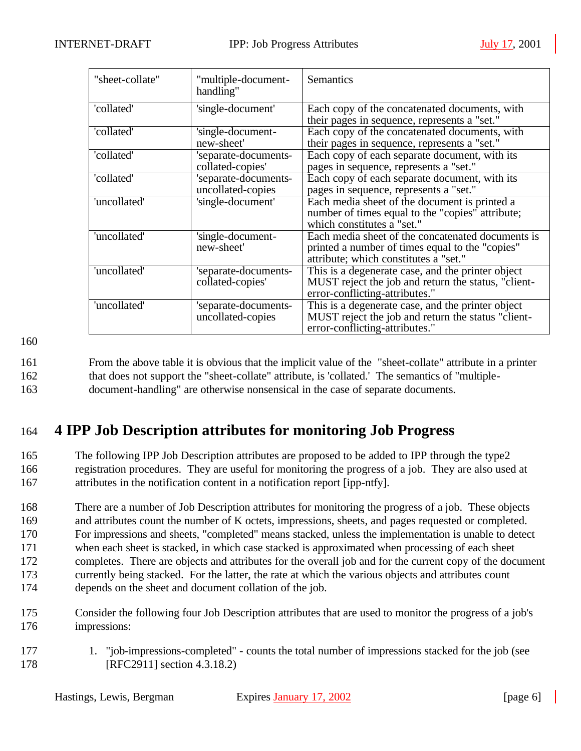| "sheet-collate" | "multiple-document-<br>handling"          | <b>Semantics</b>                                                                                                                              |
|-----------------|-------------------------------------------|-----------------------------------------------------------------------------------------------------------------------------------------------|
| 'collated'      | 'single-document'                         | Each copy of the concatenated documents, with<br>their pages in sequence, represents a "set."                                                 |
| 'collated'      | 'single-document-<br>new-sheet'           | Each copy of the concatenated documents, with<br>their pages in sequence, represents a "set."                                                 |
| 'collated'      | 'separate-documents-<br>collated-copies'  | Each copy of each separate document, with its<br>pages in sequence, represents a "set."                                                       |
| 'collated'      | 'separate-documents-<br>uncollated-copies | Each copy of each separate document, with its<br>pages in sequence, represents a "set."                                                       |
| 'uncollated'    | 'single-document'                         | Each media sheet of the document is printed a<br>number of times equal to the "copies" attribute;<br>which constitutes a "set."               |
| 'uncollated'    | 'single-document-<br>new-sheet'           | Each media sheet of the concatenated documents is<br>printed a number of times equal to the "copies"<br>attribute; which constitutes a "set." |
| 'uncollated'    | 'separate-documents-<br>collated-copies'  | This is a degenerate case, and the printer object<br>MUST reject the job and return the status, "client-<br>error-conflicting-attributes."    |
| 'uncollated'    | 'separate-documents-<br>uncollated-copies | This is a degenerate case, and the printer object<br>MUST reject the job and return the status "client-<br>error-conflicting-attributes."     |

161 From the above table it is obvious that the implicit value of the "sheet-collate" attribute in a printer 162 that does not support the "sheet-collate" attribute, is 'collated.' The semantics of "multiple-163 document-handling" are otherwise nonsensical in the case of separate documents.

# 164 **4 IPP Job Description attributes for monitoring Job Progress**

165 The following IPP Job Description attributes are proposed to be added to IPP through the type2 166 registration procedures. They are useful for monitoring the progress of a job. They are also used at 167 attributes in the notification content in a notification report [ipp-ntfy].

 There are a number of Job Description attributes for monitoring the progress of a job. These objects and attributes count the number of K octets, impressions, sheets, and pages requested or completed. For impressions and sheets, "completed" means stacked, unless the implementation is unable to detect when each sheet is stacked, in which case stacked is approximated when processing of each sheet completes. There are objects and attributes for the overall job and for the current copy of the document currently being stacked. For the latter, the rate at which the various objects and attributes count depends on the sheet and document collation of the job.

- 175 Consider the following four Job Description attributes that are used to monitor the progress of a job's 176 impressions:
- 177 1. "job-impressions-completed" counts the total number of impressions stacked for the job (see 178 [RFC2911] section 4.3.18.2)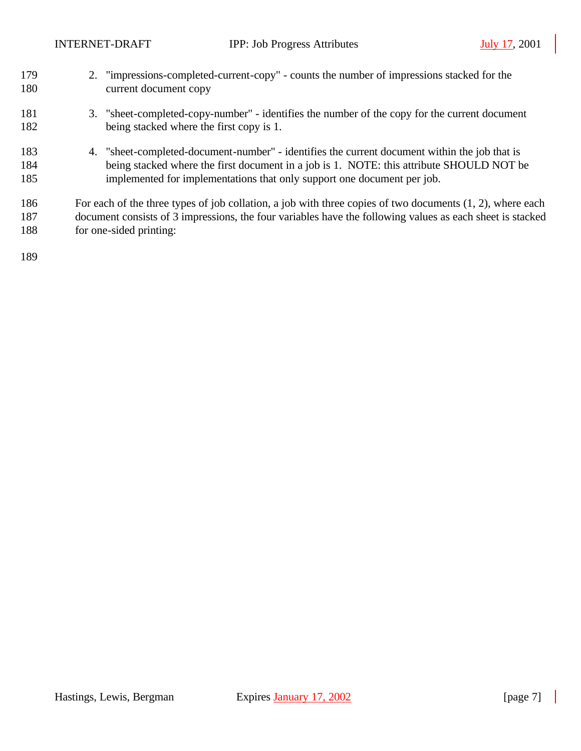| 179 | 2. "impressions-completed-current-copy" - counts the number of impressions stacked for the                   |
|-----|--------------------------------------------------------------------------------------------------------------|
| 180 | current document copy                                                                                        |
| 181 | 3. "sheet-completed-copy-number" - identifies the number of the copy for the current document                |
| 182 | being stacked where the first copy is 1.                                                                     |
| 183 | 4. "sheet-completed-document-number" - identifies the current document within the job that is                |
| 184 | being stacked where the first document in a job is 1. NOTE: this attribute SHOULD NOT be                     |
| 185 | implemented for implementations that only support one document per job.                                      |
| 186 | For each of the three types of job collation, a job with three copies of two documents $(1, 2)$ , where each |
| 187 | document consists of 3 impressions, the four variables have the following values as each sheet is stacked    |
| 188 | for one-sided printing:                                                                                      |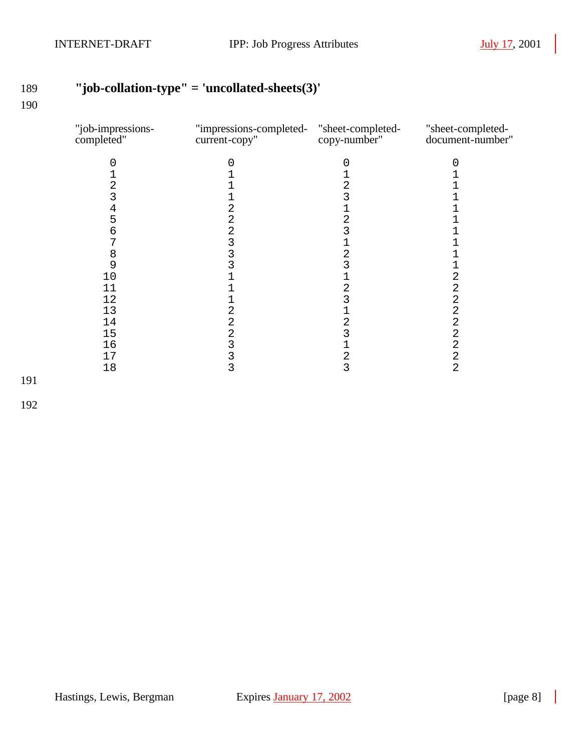# **"job-collation-type" = 'uncollated-sheets(3)'**

| "job-impressions-<br>completed" | "impressions-completed- "sheet-completed-<br>current-copy" | copy-number" | "sheet-completed-<br>document-number" |
|---------------------------------|------------------------------------------------------------|--------------|---------------------------------------|
|                                 |                                                            |              |                                       |
|                                 |                                                            |              |                                       |
| 2                               |                                                            | 2            |                                       |
| 3                               |                                                            |              |                                       |
| 4                               | 2                                                          |              |                                       |
| 5                               | 2                                                          |              |                                       |
| 6                               |                                                            |              |                                       |
| 7                               | 2<br>3                                                     |              |                                       |
| 8                               | 3                                                          | 2            |                                       |
| 9                               |                                                            |              |                                       |
| 10                              |                                                            |              | 2                                     |
| 11                              |                                                            |              | 2                                     |
| 12                              |                                                            |              | 2                                     |
| 13                              | 2                                                          |              | 2                                     |
| 14                              | 2                                                          | 2            | $\overline{2}$                        |
| 15                              | 2                                                          |              | 2                                     |
| 16                              | 3                                                          |              | 2                                     |
| 17                              | 3                                                          | 2            | 2                                     |
| 18                              | 3                                                          | 3            | $\overline{2}$                        |
|                                 |                                                            |              |                                       |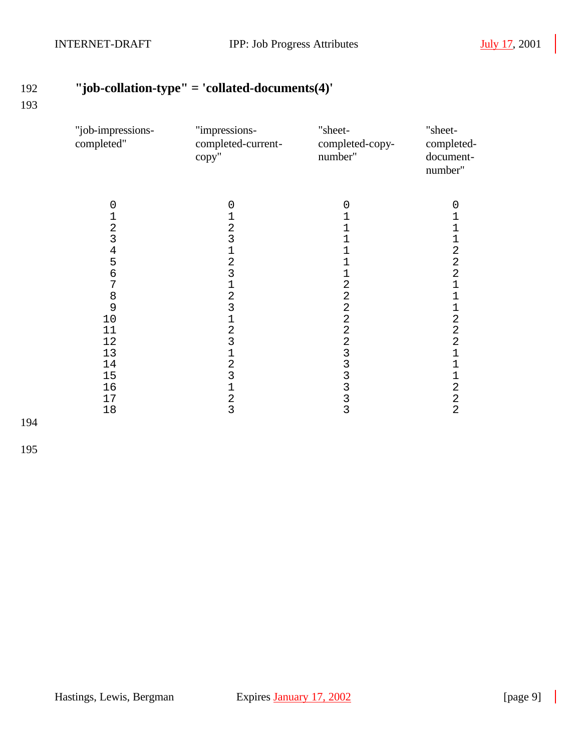# **"job-collation-type" = 'collated-documents(4)'**

#### 

| "impressions-<br>completed-current-<br>copy"                                                                                                                                                                              | "sheet-<br>completed-copy-<br>number"                | "sheet-<br>completed-<br>document-<br>number"                                                                                                                                                                                                                                      |
|---------------------------------------------------------------------------------------------------------------------------------------------------------------------------------------------------------------------------|------------------------------------------------------|------------------------------------------------------------------------------------------------------------------------------------------------------------------------------------------------------------------------------------------------------------------------------------|
| 0<br>1<br>$\frac{2}{3}$<br>$\begin{array}{c} 1 \\ 2 \\ 3 \end{array}$<br>$\overline{1}$<br>$\frac{2}{3}$<br>$\mathbf 1$<br>$\overline{2}$<br>$\overline{3}$<br>$\begin{array}{c} 1 \\ 2 \\ 3 \end{array}$<br>$\mathbf{1}$ | $\mathbf 0$<br>1<br>1<br>1<br>$\mathbf{1}$<br>1<br>1 | 0<br>1<br>$\mathbf 1$<br>$\mathbf 1$<br>$\overline{a}$<br>$\overline{a}$<br>$\overline{2}$<br>$\mathbf 1$<br>$\overline{1}$<br>$\mathbf 1$<br>$\overline{a}$<br>$\overline{a}$<br>$\overline{2}$<br>$\mathbf{1}$<br>$\mathbf 1$<br>$\mathbf 1$<br>$\overline{a}$<br>$\overline{c}$ |
|                                                                                                                                                                                                                           |                                                      | $\overline{2}$                                                                                                                                                                                                                                                                     |
|                                                                                                                                                                                                                           | $\frac{2}{3}$                                        | 222222333333                                                                                                                                                                                                                                                                       |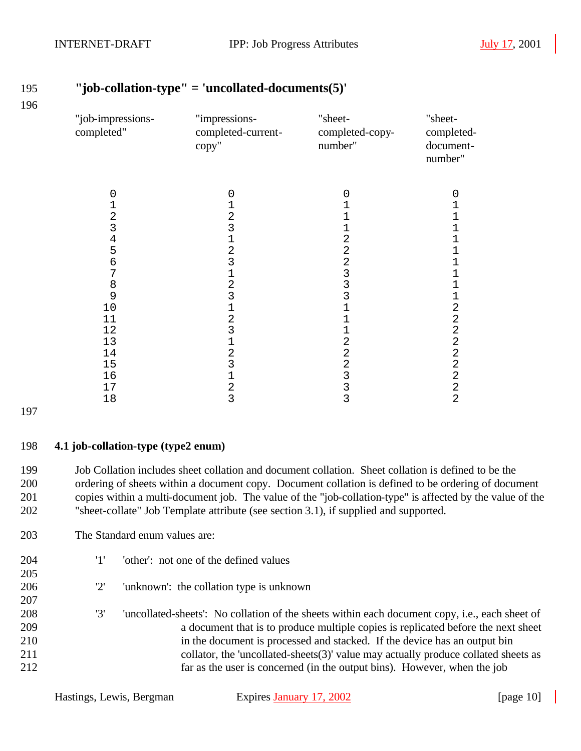| "job-impressions-<br>completed" | "impressions-<br>completed-current-<br>copy" | "sheet-<br>completed-copy-<br>number" | "sheet-<br>completed-<br>document-<br>number" |
|---------------------------------|----------------------------------------------|---------------------------------------|-----------------------------------------------|
| 0                               | 0                                            | 0                                     | 0                                             |
| 1                               | $\mathbf{1}$                                 | 1                                     | 1                                             |
| 2                               | $\begin{array}{c} 2 \\ 3 \\ 1 \end{array}$   |                                       | 1                                             |
| 3                               |                                              | 1                                     | 1                                             |
| $\overline{4}$                  |                                              | $\overline{2}$                        | $\overline{1}$                                |
| 5                               | $\overline{a}$                               | $\overline{2}$                        | 1                                             |
| 6                               | 3                                            | $\overline{a}$                        | 1                                             |
| 7                               | $\mathbf 1$                                  | 3                                     | 1                                             |
| 8                               |                                              | 3                                     | 1                                             |
| 9                               | $\begin{array}{c} 2 \\ 3 \\ 1 \end{array}$   | 3                                     | 1                                             |
| 10                              |                                              | 1                                     | $\overline{2}$                                |
| 11                              | $\frac{2}{3}$                                | 1                                     | $\overline{2}$                                |
| 12                              |                                              | 1                                     | $\overline{2}$                                |
| 13                              | $\begin{array}{c} 1 \\ 2 \\ 3 \end{array}$   | 2                                     | $\overline{2}$                                |
| 14                              |                                              | $\overline{c}$                        | $\mathbf 2$                                   |
| 15                              |                                              | $\overline{2}$                        | $\overline{2}$                                |
| 16                              | $\mathbf 1$                                  | 3                                     | $\overline{2}$                                |
| 17                              | $\overline{a}$                               | 3                                     | $\mathbf 2$                                   |
| 18                              | $\overline{3}$                               | 3                                     | $\overline{2}$                                |

 Job Collation includes sheet collation and document collation. Sheet collation is defined to be the ordering of sheets within a document copy. Document collation is defined to be ordering of document copies within a multi-document job. The value of the "job-collation-type" is affected by the value of the

"sheet-collate" Job Template attribute (see section 3.1), if supplied and supported.

### **"job-collation-type" = 'uncollated-documents(5)'**

Hastings, Lewis, Bergman Expires January 17, 2002 [page 10] 211 collator, the 'uncollated-sheets(3)' value may actually produce collated sheets as far as the user is concerned (in the output bins). However, when the job

'1' 'other': not one of the defined values

'2' 'unknown': the collation type is unknown

**4.1 job-collation-type (type2 enum)**

The Standard enum values are:

 '3' 'uncollated-sheets': No collation of the sheets within each document copy, i.e., each sheet of a document that is to produce multiple copies is replicated before the next sheet

in the document is processed and stacked. If the device has an output bin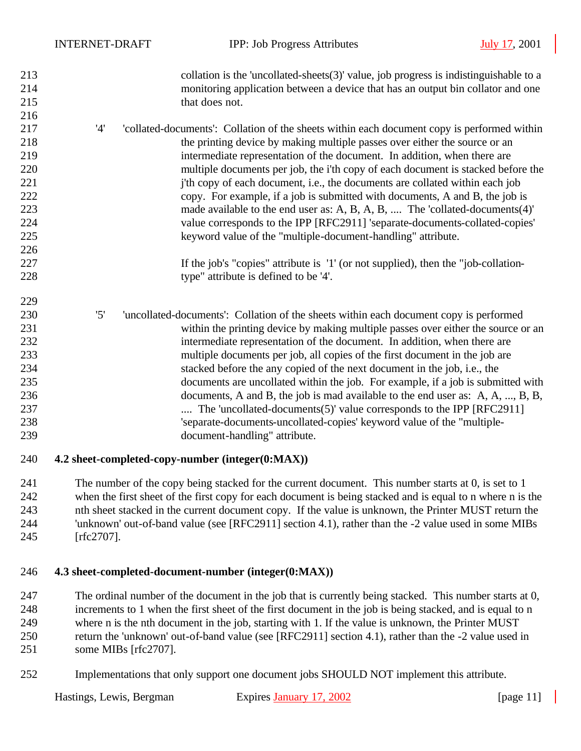| 213 |     | collation is the 'uncollated-sheets $(3)$ ' value, job progress is indistinguishable to a  |
|-----|-----|--------------------------------------------------------------------------------------------|
| 214 |     | monitoring application between a device that has an output bin collator and one            |
| 215 |     | that does not.                                                                             |
| 216 |     |                                                                                            |
| 217 | '4' | collated-documents': Collation of the sheets within each document copy is performed within |
| 218 |     | the printing device by making multiple passes over either the source or an                 |
| 219 |     | intermediate representation of the document. In addition, when there are                   |
| 220 |     | multiple documents per job, the i'th copy of each document is stacked before the           |
| 221 |     | j'th copy of each document, i.e., the documents are collated within each job               |
| 222 |     | copy. For example, if a job is submitted with documents, A and B, the job is               |
| 223 |     | made available to the end user as: A, B, A, B,  The 'collated-documents(4)'                |
| 224 |     | value corresponds to the IPP [RFC2911] 'separate-documents-collated-copies'                |
| 225 |     | keyword value of the "multiple-document-handling" attribute.                               |
| 226 |     |                                                                                            |
| 227 |     | If the job's "copies" attribute is '1' (or not supplied), then the "job-collation-         |
| 228 |     | type" attribute is defined to be '4'.                                                      |
| 229 |     |                                                                                            |
| 230 | '5' | 'uncollated-documents': Collation of the sheets within each document copy is performed     |
| 231 |     | within the printing device by making multiple passes over either the source or an          |
| 232 |     | intermediate representation of the document. In addition, when there are                   |
| 233 |     | multiple documents per job, all copies of the first document in the job are                |
| 234 |     | stacked before the any copied of the next document in the job, i.e., the                   |
| 235 |     | documents are uncollated within the job. For example, if a job is submitted with           |
| 236 |     | documents, A and B, the job is mad available to the end user as: A, A, , B, B,             |
| 237 |     | The 'uncollated-documents(5)' value corresponds to the IPP [RFC2911]                       |
| 238 |     | 'separate-documents-uncollated-copies' keyword value of the "multiple-                     |
| 239 |     | document-handling" attribute.                                                              |
| 240 |     | 4.2 sheet-completed-copy-number (integer(0:MAX))                                           |

 The number of the copy being stacked for the current document. This number starts at 0, is set to 1 when the first sheet of the first copy for each document is being stacked and is equal to n where n is the nth sheet stacked in the current document copy. If the value is unknown, the Printer MUST return the 'unknown' out-of-band value (see [RFC2911] section 4.1), rather than the -2 value used in some MIBs [rfc2707].

#### **4.3 sheet-completed-document-number (integer(0:MAX))**

 The ordinal number of the document in the job that is currently being stacked. This number starts at 0, increments to 1 when the first sheet of the first document in the job is being stacked, and is equal to n where n is the nth document in the job, starting with 1. If the value is unknown, the Printer MUST return the 'unknown' out-of-band value (see [RFC2911] section 4.1), rather than the -2 value used in some MIBs [rfc2707].

Implementations that only support one document jobs SHOULD NOT implement this attribute.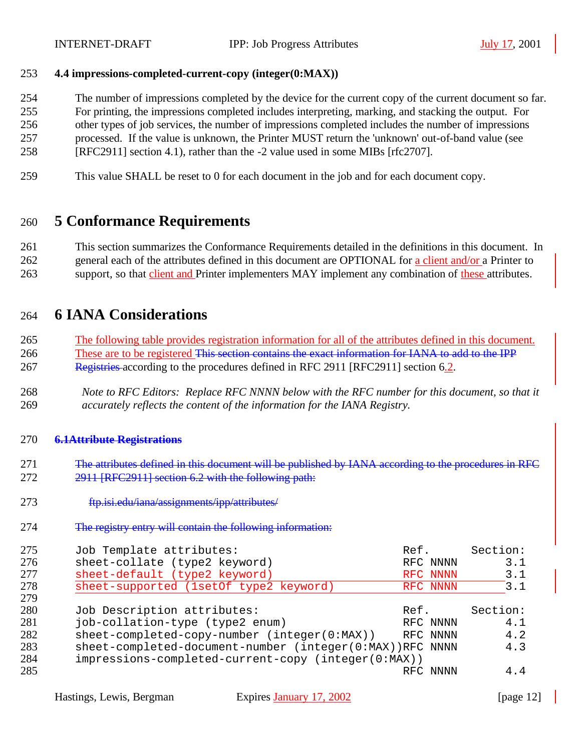#### **4.4 impressions-completed-current-copy (integer(0:MAX))**

The number of impressions completed by the device for the current copy of the current document so far.

For printing, the impressions completed includes interpreting, marking, and stacking the output. For

 other types of job services, the number of impressions completed includes the number of impressions processed. If the value is unknown, the Printer MUST return the 'unknown' out-of-band value (see

- [RFC2911] section 4.1), rather than the -2 value used in some MIBs [rfc2707].
- 
- This value SHALL be reset to 0 for each document in the job and for each document copy.

## **5 Conformance Requirements**

 This section summarizes the Conformance Requirements detailed in the definitions in this document. In 262 general each of the attributes defined in this document are OPTIONAL for a client and/or a Printer to 263 support, so that client and Printer implementers MAY implement any combination of these attributes.

### **6 IANA Considerations**

 The following table provides registration information for all of the attributes defined in this document. 266 These are to be registered This section contains the exact information for IANA to add to the IPP 267 Registries according to the procedures defined in RFC 2911 [RFC2911] section 6.2.

 *Note to RFC Editors: Replace RFC NNNN below with the RFC number for this document, so that it accurately reflects the content of the information for the IANA Registry.*

#### **6.1Attribute Registrations**

- 271 The attributes defined in this document will be published by IANA according to the procedures in RFC 2911 [RFC2911] section 6.2 with the following path:
- ftp.isi.edu/iana/assignments/ipp/attributes/
- The registry entry will contain the following information:

| 275<br>276<br>277<br>278<br>279        | Job Template attributes:<br>sheet-collate (type2 keyword)<br>sheet-default (type2 keyword)<br>sheet-supported (1setOf type2 keyword)                                                                                              | Ref.<br>RFC NNNN<br>RFC NNNN<br>RFC NNNN | Section:<br>3.1<br>3.1<br>3.1        |
|----------------------------------------|-----------------------------------------------------------------------------------------------------------------------------------------------------------------------------------------------------------------------------------|------------------------------------------|--------------------------------------|
| 280<br>281<br>282<br>283<br>284<br>285 | Job Description attributes:<br>job-collation-type (type2 enum)<br>sheet-completed-copy-number (integer(0:MAX))<br>sheet-completed-document-number (integer(0:MAX))RFC NNNN<br>impressions-completed-current-copy (integer(0:MAX)) | Ref.<br>RFC NNNN<br>RFC NNNN<br>RFC NNNN | Section:<br>4.1<br>4.2<br>4.3<br>4.4 |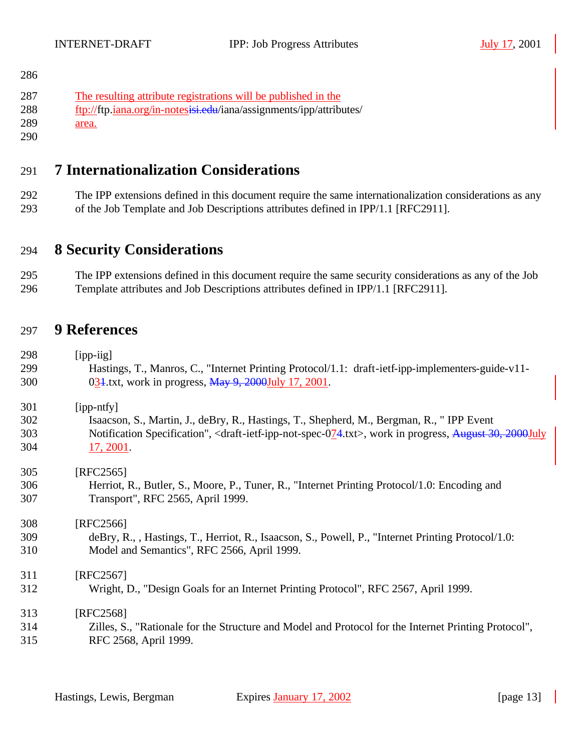| 286 |                                                                     |
|-----|---------------------------------------------------------------------|
| 287 | The resulting attribute registrations will be published in the      |
| 288 | ftp://ftp.iana.org/in-notesisi.edu/iana/assignments/ipp/attributes/ |
| 289 | area.                                                               |
| 290 |                                                                     |

## **7 Internationalization Considerations**

 The IPP extensions defined in this document require the same internationalization considerations as any of the Job Template and Job Descriptions attributes defined in IPP/1.1 [RFC2911].

### **8 Security Considerations**

 The IPP extensions defined in this document require the same security considerations as any of the Job Template attributes and Job Descriptions attributes defined in IPP/1.1 [RFC2911].

### **9 References**

 [ipp-iig] Hastings, T., Manros, C., "Internet Printing Protocol/1.1: draft-ietf-ipp-implementers-guide-v11- 031.txt, work in progress, May 9, 2000July 17, 2001.

| 301 | $[$ ipp-ntfy $]$                                                                                                                        |
|-----|-----------------------------------------------------------------------------------------------------------------------------------------|
| 302 | Isaacson, S., Martin, J., deBry, R., Hastings, T., Shepherd, M., Bergman, R., "IPP Event                                                |
| 303 | Notification Specification", <draft-ietf-ipp-not-spec-074.txt>, work in progress, August 30, 2000July</draft-ietf-ipp-not-spec-074.txt> |
| 304 | 17, 2001.                                                                                                                               |

| 305                  | [RFC2565]                                                                                          |
|----------------------|----------------------------------------------------------------------------------------------------|
| 306                  | Herriot, R., Butler, S., Moore, P., Tuner, R., "Internet Printing Protocol/1.0: Encoding and       |
| 307                  | Transport", RFC 2565, April 1999.                                                                  |
| 308                  | [RFC2566]                                                                                          |
| 309                  | deBry, R., , Hastings, T., Herriot, R., Isaacson, S., Powell, P., "Internet Printing Protocol/1.0: |
| 310                  | Model and Semantics", RFC 2566, April 1999.                                                        |
| 311                  | [RFC2567]                                                                                          |
| 312                  | Wright, D., "Design Goals for an Internet Printing Protocol", RFC 2567, April 1999.                |
| 313                  | [RFC2568]                                                                                          |
| $\sim$ $\sim$ $\sim$ |                                                                                                    |

 Zilles, S., "Rationale for the Structure and Model and Protocol for the Internet Printing Protocol", RFC 2568, April 1999.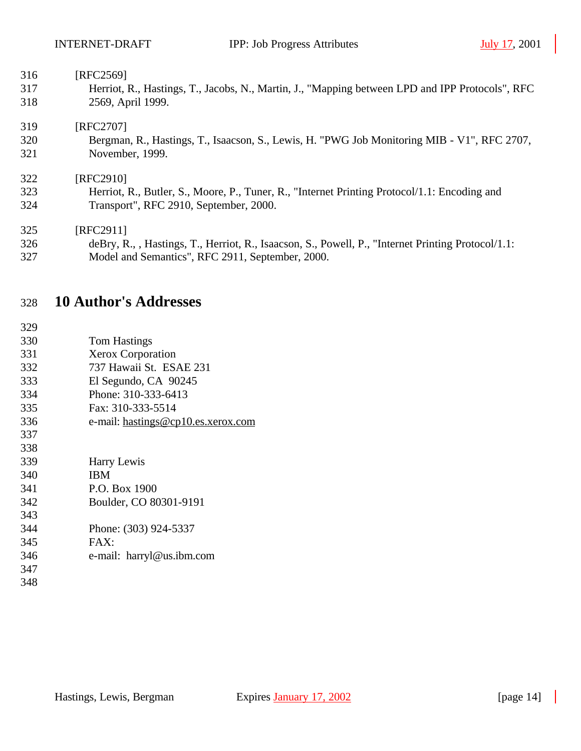| 316 | [RFC2569]                                                                                          |
|-----|----------------------------------------------------------------------------------------------------|
| 317 | Herriot, R., Hastings, T., Jacobs, N., Martin, J., "Mapping between LPD and IPP Protocols", RFC    |
| 318 | 2569, April 1999.                                                                                  |
| 319 | [RFC2707]                                                                                          |
| 320 | Bergman, R., Hastings, T., Isaacson, S., Lewis, H. "PWG Job Monitoring MIB - V1", RFC 2707,        |
| 321 | November, 1999.                                                                                    |
| 322 | [RFC2910]                                                                                          |
| 323 | Herriot, R., Butler, S., Moore, P., Tuner, R., "Internet Printing Protocol/1.1: Encoding and       |
| 324 | Transport", RFC 2910, September, 2000.                                                             |
| 325 | [RFC2911]                                                                                          |
| 326 | deBry, R., , Hastings, T., Herriot, R., Isaacson, S., Powell, P., "Internet Printing Protocol/1.1: |
| 327 | Model and Semantics", RFC 2911, September, 2000.                                                   |

# **10 Author's Addresses**

| 329 |                                    |
|-----|------------------------------------|
| 330 | <b>Tom Hastings</b>                |
| 331 | <b>Xerox Corporation</b>           |
| 332 | 737 Hawaii St. ESAE 231            |
| 333 | El Segundo, CA 90245               |
| 334 | Phone: 310-333-6413                |
| 335 | Fax: 310-333-5514                  |
| 336 | e-mail: hastings@cp10.es.xerox.com |
| 337 |                                    |
| 338 |                                    |
| 339 | Harry Lewis                        |
| 340 | <b>IBM</b>                         |
| 341 | P.O. Box 1900                      |
| 342 | Boulder, CO 80301-9191             |
| 343 |                                    |
| 344 | Phone: (303) 924-5337              |
| 345 | FAX:                               |
| 346 | e-mail: harryl@us.ibm.com          |
| 347 |                                    |
| 348 |                                    |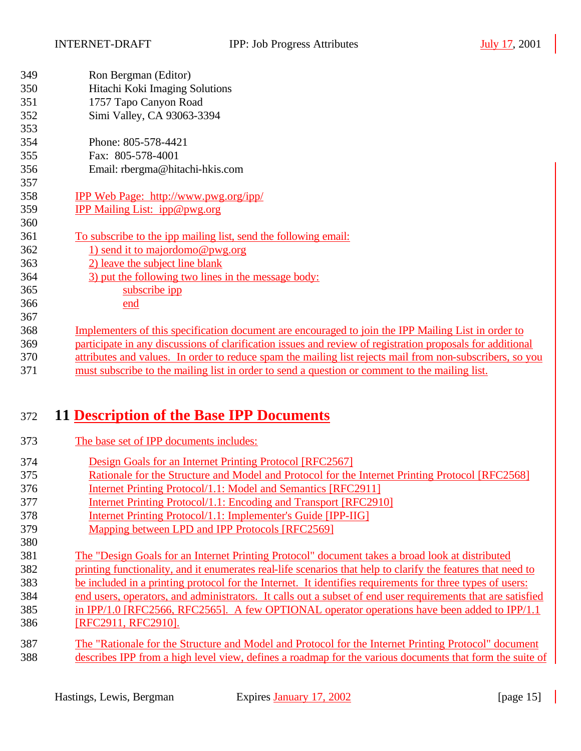| 349 | Ron Bergman (Editor)                                                                                       |
|-----|------------------------------------------------------------------------------------------------------------|
| 350 | Hitachi Koki Imaging Solutions                                                                             |
| 351 | 1757 Tapo Canyon Road                                                                                      |
| 352 | Simi Valley, CA 93063-3394                                                                                 |
| 353 |                                                                                                            |
| 354 | Phone: 805-578-4421                                                                                        |
| 355 | Fax: 805-578-4001                                                                                          |
| 356 | Email: rbergma@hitachi-hkis.com                                                                            |
| 357 |                                                                                                            |
| 358 | <b>IPP Web Page: http://www.pwg.org/ipp/</b>                                                               |
| 359 | IPP Mailing List: ipp@pwg.org                                                                              |
| 360 |                                                                                                            |
| 361 | To subscribe to the ipp mailing list, send the following email:                                            |
| 362 | 1) send it to majordomo@pwg.org                                                                            |
| 363 | 2) leave the subject line blank                                                                            |
| 364 | 3) put the following two lines in the message body:                                                        |
| 365 | subscribe ipp                                                                                              |
| 366 | end                                                                                                        |
| 367 |                                                                                                            |
| 368 | <u>Implementers of this specification document are encouraged to join the IPP Mailing List in order to</u> |
| 369 | participate in any discussions of clarification issues and review of registration proposals for additional |
| 370 | attributes and values. In order to reduce spam the mailing list rejects mail from non-subscribers, so you  |
| 371 | must subscribe to the mailing list in order to send a question or comment to the mailing list.             |
|     |                                                                                                            |

## **11 Description of the Base IPP Documents**

- The base set of IPP documents includes:
- Design Goals for an Internet Printing Protocol [RFC2567]
- Rationale for the Structure and Model and Protocol for the Internet Printing Protocol [RFC2568]
- Internet Printing Protocol/1.1: Model and Semantics [RFC2911]
- Internet Printing Protocol/1.1: Encoding and Transport [RFC2910]
- Internet Printing Protocol/1.1: Implementer's Guide [IPP-IIG]
- Mapping between LPD and IPP Protocols [RFC2569]
- The "Design Goals for an Internet Printing Protocol" document takes a broad look at distributed
- printing functionality, and it enumerates real-life scenarios that help to clarify the features that need to
- be included in a printing protocol for the Internet. It identifies requirements for three types of users:
- end users, operators, and administrators. It calls out a subset of end user requirements that are satisfied
- in IPP/1.0 [RFC2566, RFC2565]. A few OPTIONAL operator operations have been added to IPP/1.1 [RFC2911, RFC2910].
	- The "Rationale for the Structure and Model and Protocol for the Internet Printing Protocol" document describes IPP from a high level view, defines a roadmap for the various documents that form the suite of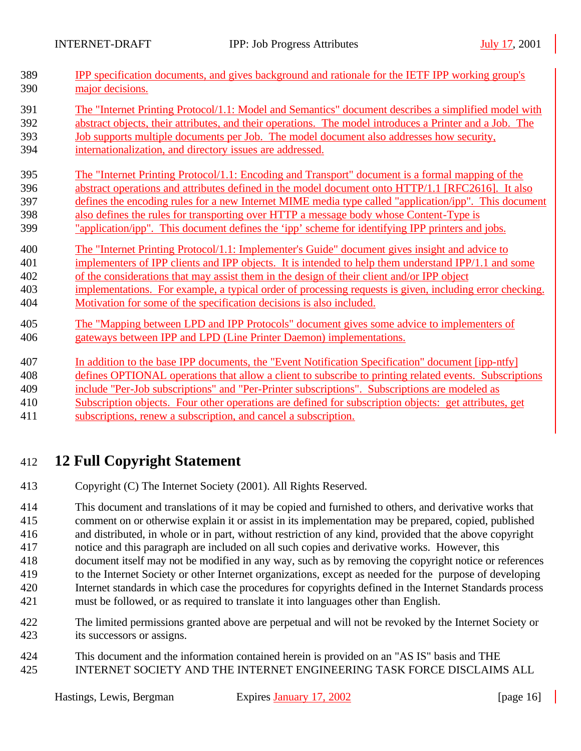| 389 | IPP specification documents, and gives background and rationale for the IETF IPP working group's         |
|-----|----------------------------------------------------------------------------------------------------------|
| 390 | major decisions.                                                                                         |
| 391 | The "Internet Printing Protocol/1.1: Model and Semantics" document describes a simplified model with     |
|     |                                                                                                          |
| 392 | abstract objects, their attributes, and their operations. The model introduces a Printer and a Job. The  |
| 393 | Job supports multiple documents per Job. The model document also addresses how security,                 |
| 394 | internationalization, and directory issues are addressed.                                                |
| 395 | The "Internet Printing Protocol/1.1: Encoding and Transport" document is a formal mapping of the         |
| 396 | abstract operations and attributes defined in the model document onto HTTP/1.1 [RFC2616]. It also        |
| 397 | defines the encoding rules for a new Internet MIME media type called "application/ipp". This document    |
| 398 | also defines the rules for transporting over HTTP a message body whose Content-Type is                   |
| 399 | "application/ipp". This document defines the 'ipp' scheme for identifying IPP printers and jobs.         |
| 400 | The "Internet Printing Protocol/1.1: Implementer's Guide" document gives insight and advice to           |
| 401 | implementers of IPP clients and IPP objects. It is intended to help them understand IPP/1.1 and some     |
| 402 | of the considerations that may assist them in the design of their client and/or IPP object               |
| 403 | implementations. For example, a typical order of processing requests is given, including error checking. |
| 404 | Motivation for some of the specification decisions is also included.                                     |
| 405 | The "Mapping between LPD and IPP Protocols" document gives some advice to implementers of                |
| 406 | gateways between IPP and LPD (Line Printer Daemon) implementations.                                      |
|     |                                                                                                          |
| 407 | In addition to the base IPP documents, the "Event Notification Specification" document [ipp-ntfy]        |
| 408 | defines OPTIONAL operations that allow a client to subscribe to printing related events. Subscriptions   |
| 409 | include "Per-Job subscriptions" and "Per-Printer subscriptions". Subscriptions are modeled as            |
| 410 | Subscription objects. Four other operations are defined for subscription objects: get attributes, get    |
| 411 | subscriptions, renew a subscription, and cancel a subscription.                                          |
|     |                                                                                                          |

## 412 **12 Full Copyright Statement**

413 Copyright (C) The Internet Society (2001). All Rights Reserved.

 This document and translations of it may be copied and furnished to others, and derivative works that comment on or otherwise explain it or assist in its implementation may be prepared, copied, published and distributed, in whole or in part, without restriction of any kind, provided that the above copyright notice and this paragraph are included on all such copies and derivative works. However, this

- 418 document itself may not be modified in any way, such as by removing the copyright notice or references
- 419 to the Internet Society or other Internet organizations, except as needed for the purpose of developing 420 Internet standards in which case the procedures for copyrights defined in the Internet Standards process 421 must be followed, or as required to translate it into languages other than English.
- 422 The limited permissions granted above are perpetual and will not be revoked by the Internet Society or 423 its successors or assigns.
- 424 This document and the information contained herein is provided on an "AS IS" basis and THE 425 INTERNET SOCIETY AND THE INTERNET ENGINEERING TASK FORCE DISCLAIMS ALL